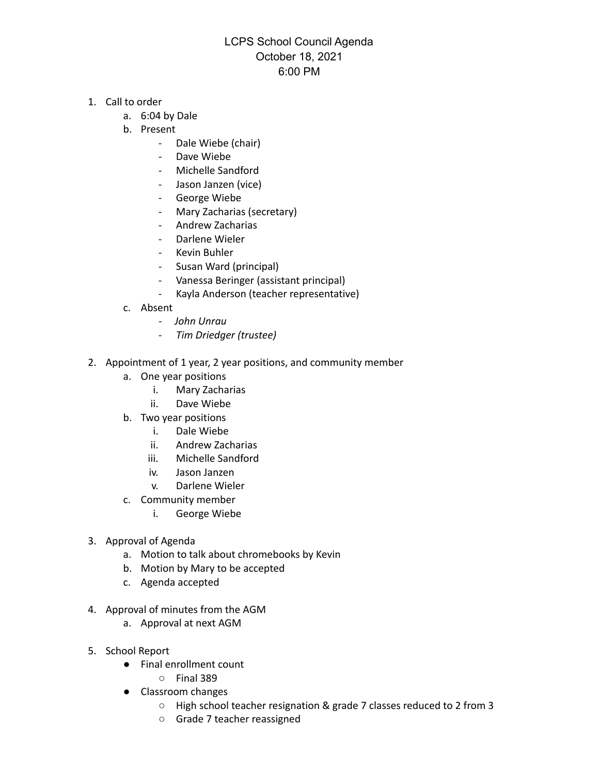## LCPS School Council Agenda October 18, 2021 6:00 PM

- 1. Call to order
	- a. 6:04 by Dale
	- b. Present
		- Dale Wiebe (chair)
		- Dave Wiebe
		- Michelle Sandford
		- Jason Janzen (vice)
		- George Wiebe
		- Mary Zacharias (secretary)
		- Andrew Zacharias
		- Darlene Wieler
		- Kevin Buhler
		- Susan Ward (principal)
		- Vanessa Beringer (assistant principal)
		- Kayla Anderson (teacher representative)
	- c. Absent
		- *John Unrau*
		- *- Tim Driedger (trustee)*
- 2. Appointment of 1 year, 2 year positions, and community member
	- a. One year positions
		- i. Mary Zacharias
		- ii. Dave Wiebe
	- b. Two year positions
		- i. Dale Wiebe
		- ii. Andrew Zacharias
		- iii. Michelle Sandford
		- iv. Jason Janzen
		- v. Darlene Wieler
	- c. Community member
		- i. George Wiebe
- 3. Approval of Agenda
	- a. Motion to talk about chromebooks by Kevin
	- b. Motion by Mary to be accepted
	- c. Agenda accepted
- 4. Approval of minutes from the AGM
	- a. Approval at next AGM
- 5. School Report
	- Final enrollment count
		- Final 389
	- Classroom changes
		- High school teacher resignation & grade 7 classes reduced to 2 from 3
		- Grade 7 teacher reassigned